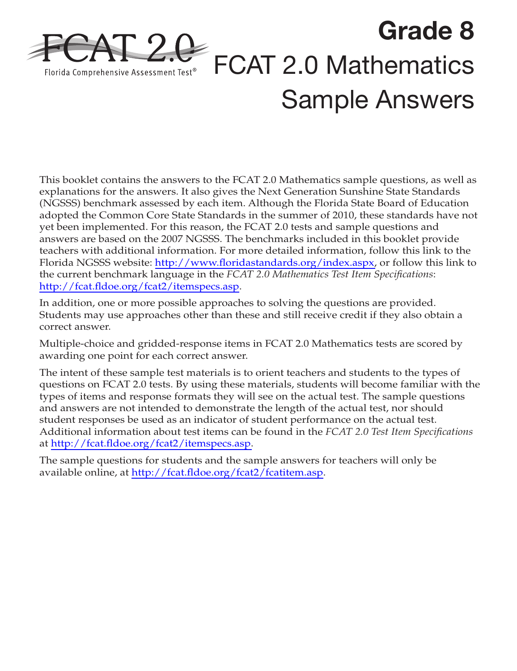

This booklet contains the answers to the FCAT 2.0 Mathematics sample questions, as well as explanations for the answers. It also gives the Next Generation Sunshine State Standards (NGSSS) benchmark assessed by each item. Although the Florida State Board of Education adopted the Common Core State Standards in the summer of 2010, these standards have not yet been implemented. For this reason, the FCAT 2.0 tests and sample questions and answers are based on the 2007 NGSSS. The benchmarks included in this booklet provide teachers with additional information. For more detailed information, follow this link to the Florida NGSSS website: [http://www.floridastandards.org/index.aspx,](http://www.floridastandards.org/index.aspx) or follow this link to the current benchmark language in the *FCAT 2.0 Mathematics Test Item Specifications*: <http://fcat.fldoe.org/fcat2/itemspecs.asp>.

In addition, one or more possible approaches to solving the questions are provided. Students may use approaches other than these and still receive credit if they also obtain a correct answer.

Multiple-choice and gridded-response items in FCAT 2.0 Mathematics tests are scored by awarding one point for each correct answer.

The intent of these sample test materials is to orient teachers and students to the types of questions on FCAT 2.0 tests. By using these materials, students will become familiar with the types of items and response formats they will see on the actual test. The sample questions and answers are not intended to demonstrate the length of the actual test, nor should student responses be used as an indicator of student performance on the actual test. Additional information about test items can be found in the *FCAT 2.0 Test Item Specifications*  at [http://fcat.fldoe.org/fcat2/itemspecs.asp.](http://fcat.fldoe.org/fcat2/itemspecs.asp)

The sample questions for students and the sample answers for teachers will only be available online, at <http://fcat.fldoe.org/fcat2/fcatitem.asp>.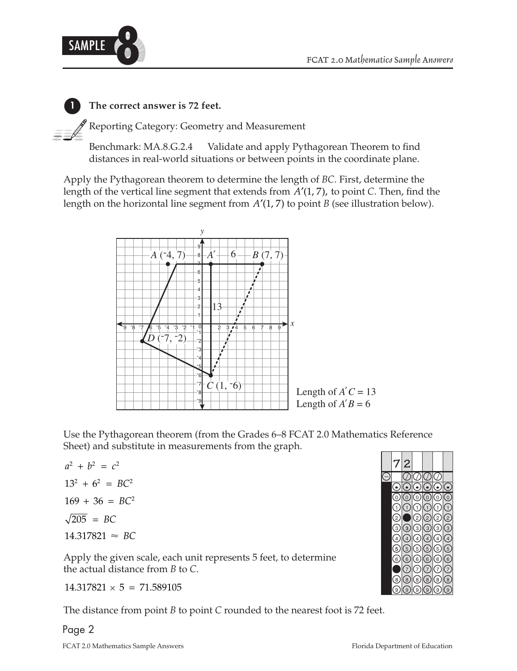

**1 The correct answer is 72 feet.** 

Reporting Category: Geometry and Measurement

Benchmark: MA.8.G.2.4 Validate and apply Pythagorean Theorem to find distances in real-world situations or between points in the coordinate plane.

Apply the Pythagorean theorem to determine the length of *BC*. First, determine the length of the vertical line segment that extends from  $A'(1, 7)$ , to point *C*. Then, find the length on the horizontal line segment from  $A'(1, 7)$  to point *B* (see illustration below).



Use the Pythagorean theorem (from the Grades 6–8 FCAT 2.0 Mathematics Reference Sheet) and substitute in measurements from the graph.

 $a^2 + b^2 = c^2$  $13^2 + 6^2 = BC^2$  $169 + 36 = BC^2$  $\sqrt{205}$  = *BC*  $14.317821 \approx BC$ 

Apply the given scale, each unit represents 5 feet, to determine the actual distance from *B* to *C*.

 $14.317821 \times 5 = 71.589105$ 

The distance from point *B* to point *C* rounded to the nearest foot is 72 feet.

# Page 2

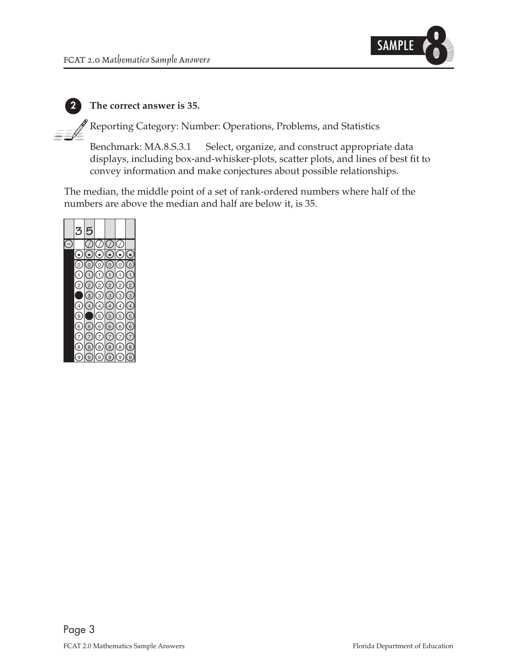

#### **2 The correct answer is 35.**

 $\rm\ell^8$  Reporting Category: Number: Operations, Problems, and Statistics

Benchmark: MA.8.S.3.1 Select, organize, and construct appropriate data displays, including box-and-whisker-plots, scatter plots, and lines of best fit to convey information and make conjectures about possible relationships.

The median, the middle point of a set of rank-ordered numbers where half of the numbers are above the median and half are below it, is 35.

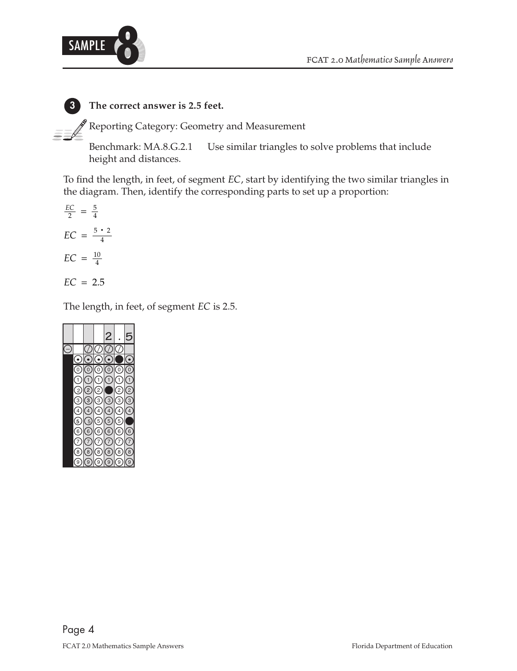

# **3 The correct answer is 2.5 feet.**

 $\mathbf F$  Reporting Category: Geometry and Measurement

Benchmark: MA.8.G.2.1 Use similar triangles to solve problems that include height and distances.

To find the length, in feet, of segment *EC*, start by identifying the two similar triangles in the diagram. Then, identify the corresponding parts to set up a proportion:

$$
\frac{EC}{2} = \frac{5}{4}
$$

$$
EC = \frac{5 \cdot 2}{4}
$$

$$
EC = \frac{10}{4}
$$

$$
EC = 2.5
$$

The length, in feet, of segment *EC* is 2.5.

|                         |                  |                  | 2                |                   |                |
|-------------------------|------------------|------------------|------------------|-------------------|----------------|
|                         |                  |                  |                  |                   |                |
|                         |                  |                  |                  |                   |                |
|                         |                  |                  |                  |                   |                |
| 0)                      | 0                | 0)               | 0)               |                   | $\overline{0}$ |
| $\mathbf{1}$            | 1                | $\mathbf{1}$     | $\mathbf{1}$     | $\mathbf{1}$      | 1              |
| $\left[ 2 \right]$      | $\mathbf{r}$     | $\frac{1}{2}$    |                  | $\overline{2}$    | $^{\prime}$ 2  |
| $\left(3\right)$        | $\left[3\right]$ | (3)              | $\left(3\right)$ | $\left(3\right)$  | $\overline{3}$ |
| $\overline{4}$          | $\overline{4}$   | $\left(4\right)$ | $\left(4\right)$ | 4                 | $\overline{4}$ |
| $\left[5\right]$        | 5                | 5                | 5                | 5)                |                |
| 6)                      | $\left[6\right]$ | 6)               | 6)               | $\left( 6\right)$ | $\frac{6}{ }$  |
|                         |                  | 7                |                  | 7                 |                |
| $\overline{\mathbf{8}}$ | $\overline{8}$   | 8                | $\overline{8}$   | 8                 | $\overline{8}$ |
| ζ9                      | 9                | 9                | ์ 9              | 9                 |                |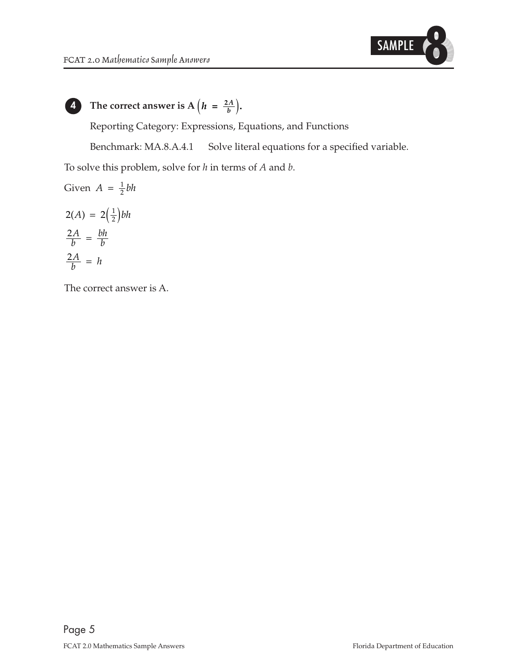

**4** The correct answer is  $A\left(h = \frac{2A}{b}\right)$ .

Reporting Category: Expressions, Equations, and Functions

Benchmark: MA.8.A.4.1 Solve literal equations for a specified variable.

To solve this problem, solve for *h* in terms of *A* and *b*.

Given 
$$
A = \frac{1}{2}bh
$$
  
\n
$$
2(A) = 2(\frac{1}{2})bh
$$
\n
$$
\frac{2A}{b} = \frac{bh}{b}
$$
\n
$$
\frac{2A}{b} = h
$$

The correct answer is A.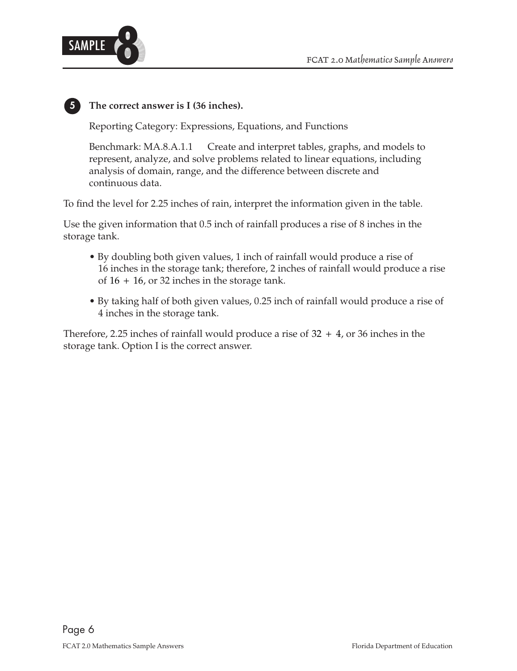

### **5 The correct answer is I (36 inches).**

Reporting Category: Expressions, Equations, and Functions

Benchmark: MA.8.A.1.1 Create and interpret tables, graphs, and models to represent, analyze, and solve problems related to linear equations, including analysis of domain, range, and the difference between discrete and continuous data.

To find the level for 2.25 inches of rain, interpret the information given in the table.

Use the given information that 0.5 inch of rainfall produces a rise of 8 inches in the storage tank.

- By doubling both given values, 1 inch of rainfall would produce a rise of 16 inches in the storage tank; therefore, 2 inches of rainfall would produce a rise of  $16 + 16$ , or 32 inches in the storage tank.
- By taking half of both given values, 0.25 inch of rainfall would produce a rise of 4 inches in the storage tank.

Therefore, 2.25 inches of rainfall would produce a rise of  $32 + 4$ , or 36 inches in the storage tank. Option I is the correct answer.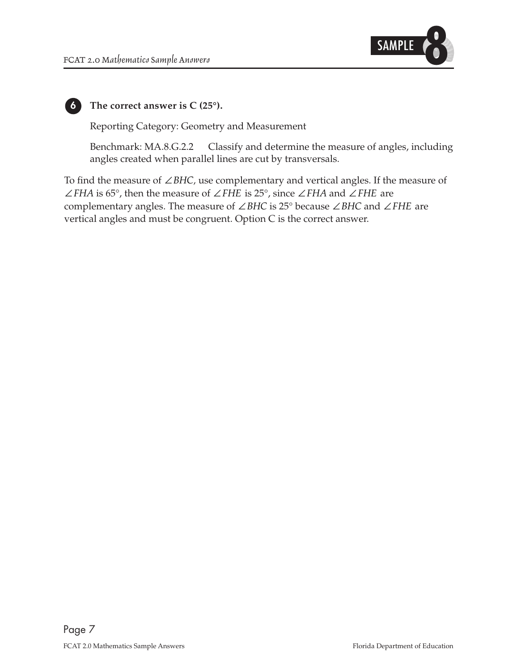

**6 The correct answer is C (25°).** 

Reporting Category: Geometry and Measurement

Benchmark: MA.8.G.2.2 Classify and determine the measure of angles, including angles created when parallel lines are cut by transversals.

To find the measure of ∠*BHC*, use complementary and vertical angles. If the measure of ∠*FHA* is 65°, then the measure of ∠*FHE* is 25°, since ∠*FHA* and ∠*FHE* are complementary angles. The measure of ∠*BHC* is 25° because ∠*BHC* and ∠*FHE* are vertical angles and must be congruent. Option C is the correct answer.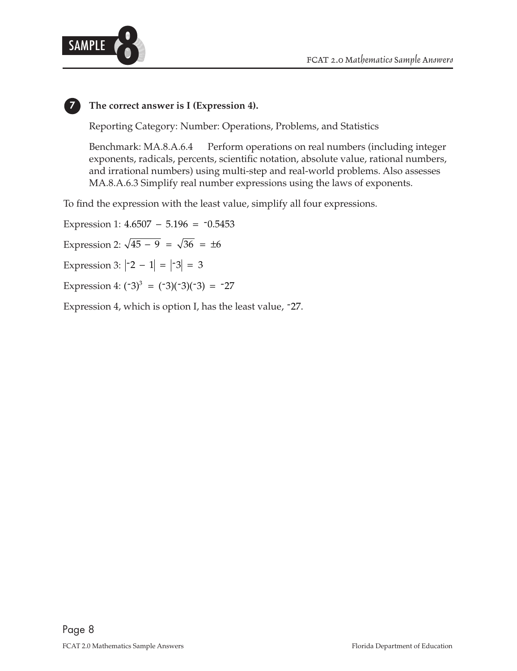



# **7 The correct answer is I (Expression 4).**

Reporting Category: Number: Operations, Problems, and Statistics

Benchmark: MA.8.A.6.4 Perform operations on real numbers (including integer exponents, radicals, percents, scientific notation, absolute value, rational numbers, and irrational numbers) using multi-step and real-world problems. Also assesses MA.8.A.6.3 Simplify real number expressions using the laws of exponents.

To find the expression with the least value, simplify all four expressions.

Expression 4:  $(-3)^3 = (-3)(-3)(-3) = -27$ Expression 1:  $4.6507 - 5.196 = -0.5453$ Expression 3:  $\begin{vmatrix} -2 & -1 \end{vmatrix} = \begin{vmatrix} -3 \end{vmatrix} = 3$ Expression 2:  $\sqrt{45}$  – 9 =  $\sqrt{36}$  =  $\pm 6$ Expression 4, which is option I, has the least value, -27.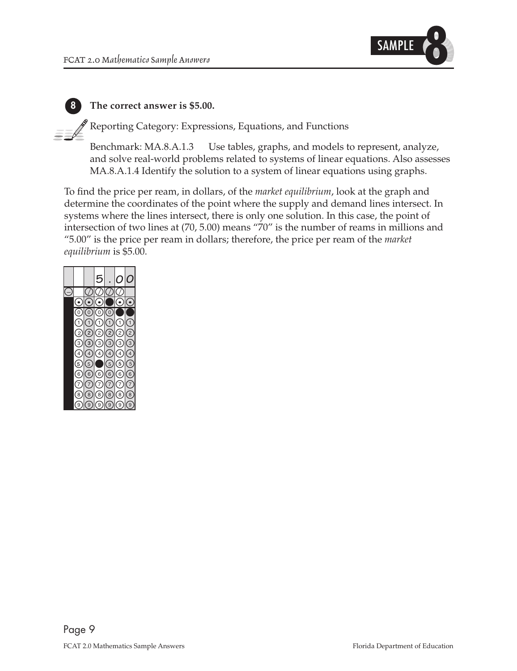

**8 The correct answer is \$5.00.** 

Reporting Category: Expressions, Equations, and Functions

Benchmark: MA.8.A.1.3 Use tables, graphs, and models to represent, analyze, and solve real-world problems related to systems of linear equations. Also assesses MA.8.A.1.4 Identify the solution to a system of linear equations using graphs.

To find the price per ream, in dollars, of the *market equilibrium*, look at the graph and determine the coordinates of the point where the supply and demand lines intersect. In systems where the lines intersect, there is only one solution. In this case, the point of intersection of two lines at (70, 5.00) means "70" is the number of reams in millions and "5.00" is the price per ream in dollars; therefore, the price per ream of the *market equilibrium* is \$5.00.

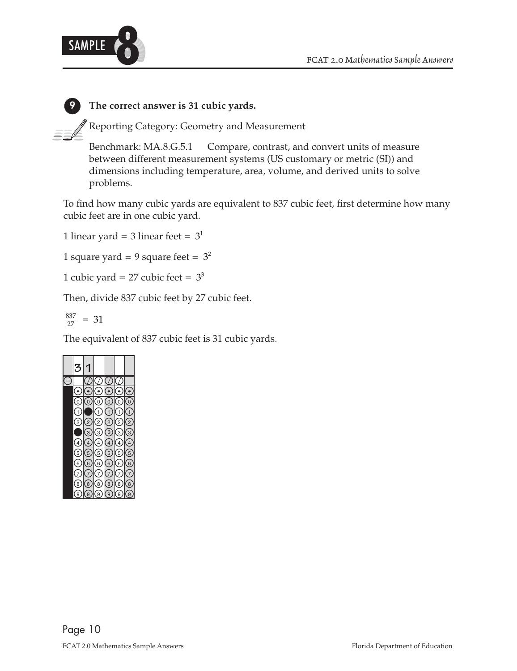

### **9 The correct answer is 31 cubic yards.**

 $\mathscr$  Reporting Category: Geometry and Measurement

Benchmark: MA.8.G.5.1 Compare, contrast, and convert units of measure between different measurement systems (US customary or metric (SI)) and dimensions including temperature, area, volume, and derived units to solve problems.

To find how many cubic yards are equivalent to 837 cubic feet, first determine how many cubic feet are in one cubic yard.

1 linear yard = 3 linear feet =  $3<sup>1</sup>$ 

1 square yard = 9 square feet =  $3^2$ 

1 cubic yard =  $27$  cubic feet =  $3<sup>3</sup>$ 

Then, divide 837 cubic feet by 27 cubic feet.

$$
\frac{837}{27} = 31
$$

The equivalent of 837 cubic feet is 31 cubic yards.

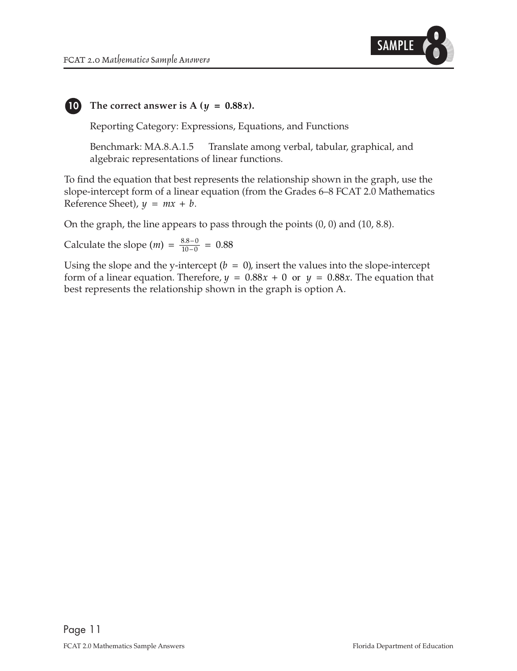

#### **10 The correct answer is A** ( $y = 0.88x$ ).

Reporting Category: Expressions, Equations, and Functions

Benchmark: MA.8.A.1.5 Translate among verbal, tabular, graphical, and algebraic representations of linear functions.

To find the equation that best represents the relationship shown in the graph, use the slope-intercept form of a linear equation (from the Grades 6–8 FCAT 2.0 Mathematics Reference Sheet),  $y = mx + b$ .

On the graph, the line appears to pass through the points (0, 0) and (10, 8.8).

Calculate the slope  $(m) = \frac{8.8 - 0}{10 - 0} = 0.88$ 

Using the slope and the y-intercept  $(b = 0)$ , insert the values into the slope-intercept form of a linear equation. Therefore,  $y = 0.88x + 0$  or  $y = 0.88x$ . The equation that best represents the relationship shown in the graph is option A.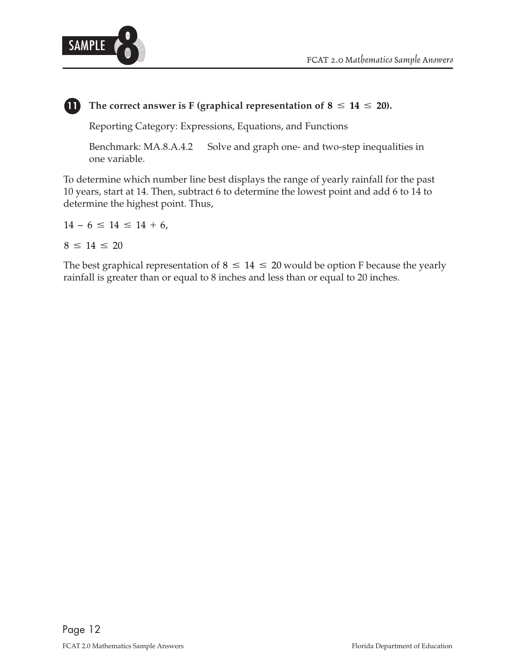

#### **11** The correct answer is F (graphical representation of  $8 \le 14 \le 20$ ).

Reporting Category: Expressions, Equations, and Functions

Benchmark: MA.8.A.4.2 Solve and graph one- and two-step inequalities in one variable.

To determine which number line best displays the range of yearly rainfall for the past 10 years, start at 14. Then, subtract 6 to determine the lowest point and add 6 to 14 to determine the highest point. Thus,

 $14 - 6 \leq 14 \leq 14 + 6$ ,

$$
8\,\leq\,14\,\leq\,20
$$

The best graphical representation of  $8 \le 14 \le 20$  would be option F because the yearly rainfall is greater than or equal to 8 inches and less than or equal to 20 inches.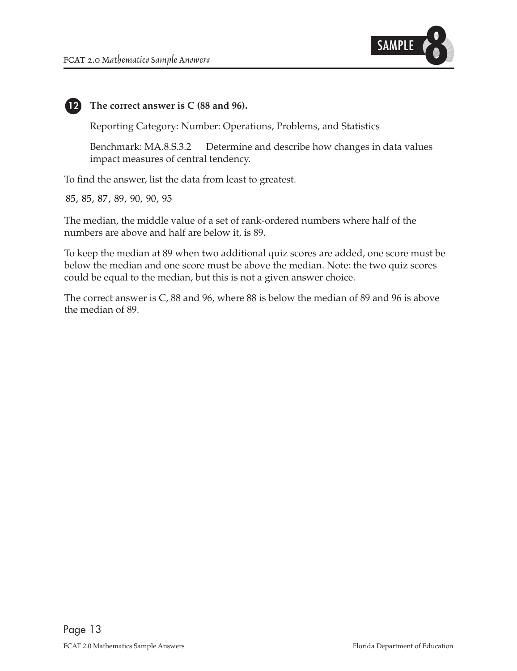

#### **12** The correct answer is C (88 and 96).

Reporting Category: Number: Operations, Problems, and Statistics

Benchmark: MA.8.S.3.2 Determine and describe how changes in data values impact measures of central tendency.

To find the answer, list the data from least to greatest.

85, 85, 87, 89, 90, 90, 95

The median, the middle value of a set of rank-ordered numbers where half of the numbers are above and half are below it, is 89.

To keep the median at 89 when two additional quiz scores are added, one score must be below the median and one score must be above the median. Note: the two quiz scores could be equal to the median, but this is not a given answer choice.

The correct answer is C, 88 and 96, where 88 is below the median of 89 and 96 is above the median of 89.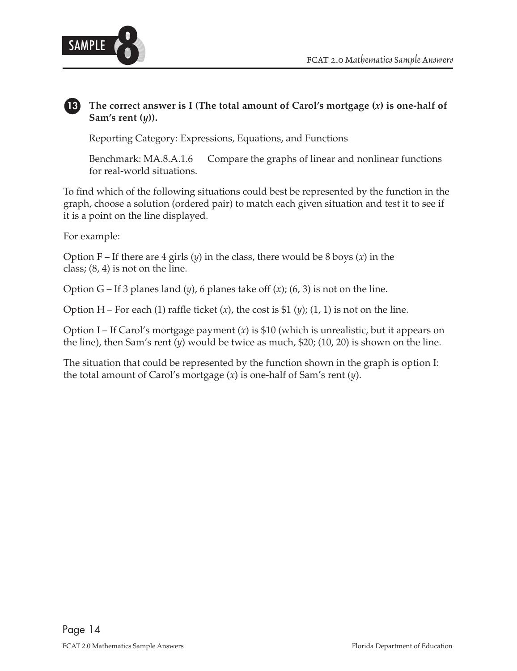



#### **13 13 The correct answer is I (The total amount of Carol's mortgage (***x***) is one-half of Sam's rent (***y***)).**

Reporting Category: Expressions, Equations, and Functions

Benchmark: MA.8.A.1.6 Compare the graphs of linear and nonlinear functions for real-world situations.

To find which of the following situations could best be represented by the function in the graph, choose a solution (ordered pair) to match each given situation and test it to see if it is a point on the line displayed.

For example:

Option F – If there are 4 girls (*y*) in the class, there would be 8 boys (*x*) in the class; (8, 4) is not on the line.

Option G – If 3 planes land  $(y)$ , 6 planes take off  $(x)$ ;  $(6, 3)$  is not on the line.

Option H – For each (1) raffle ticket  $(x)$ , the cost is \$1  $(y)$ ;  $(1, 1)$  is not on the line.

Option I – If Carol's mortgage payment (*x*) is \$10 (which is unrealistic, but it appears on the line), then Sam's rent (*y*) would be twice as much, \$20; (10, 20) is shown on the line.

The situation that could be represented by the function shown in the graph is option I: the total amount of Carol's mortgage (*x*) is one-half of Sam's rent (*y*).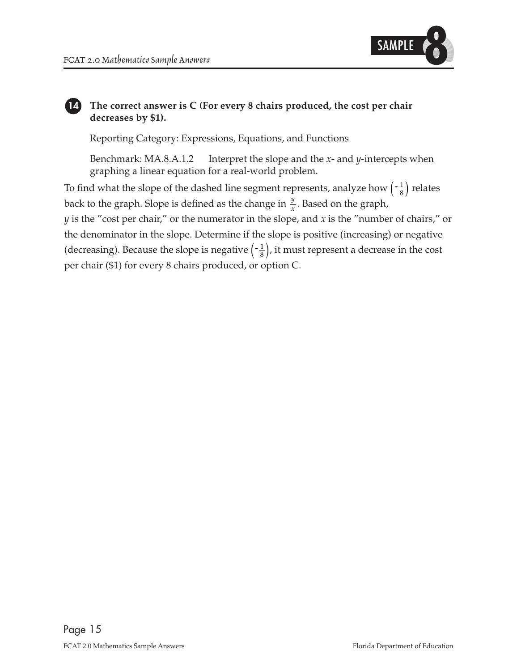

#### **The correct answer is C (For every 8 chairs produced, the cost per chair decreases by \$1). 14**

Reporting Category: Expressions, Equations, and Functions

Benchmark: MA.8.A.1.2 Interpret the slope and the *x*- and *y*-intercepts when graphing a linear equation for a real-world problem.

(decreasing). Because the slope is negative  $\left(-\frac{1}{8}\right)$ , it must represent a decrease in the cost back to the graph. Slope is defined as the change in  $\frac{y}{x}$ . Based on the graph, To find what the slope of the dashed line segment represents, analyze how  $\left(\frac{-1}{8}\right)$  relates *y* is the "cost per chair," or the numerator in the slope, and *x* is the "number of chairs," or the denominator in the slope. Determine if the slope is positive (increasing) or negative per chair (\$1) for every 8 chairs produced, or option C.